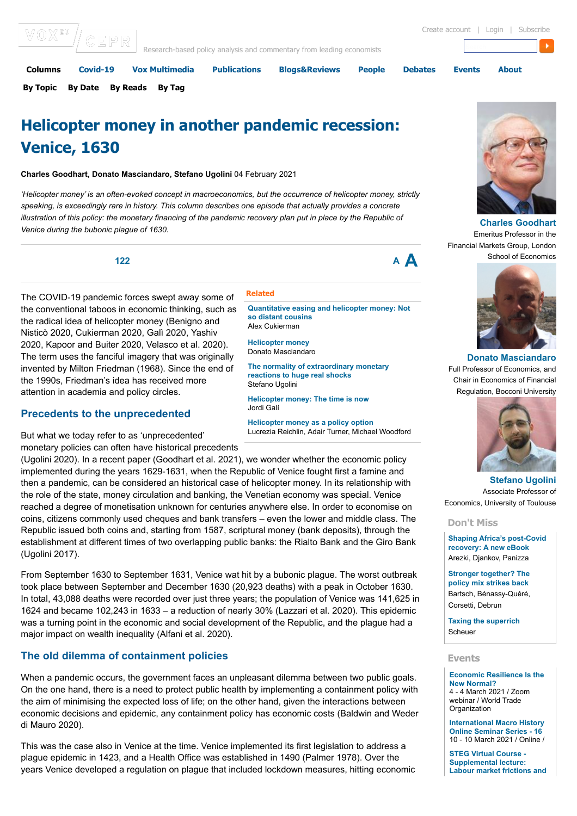| Columns | Covid-19                 | Vox Multimedia | <b>Publications</b>                                                   | <b>Blogs&amp;Reviews</b> | People | <b>Debates</b> | <b>Events</b> | <b>About</b>                       |  |
|---------|--------------------------|----------------|-----------------------------------------------------------------------|--------------------------|--------|----------------|---------------|------------------------------------|--|
|         | VOX <sup>EJ</sup> /CEPRI |                | Research-based policy analysis and commentary from leading economists |                          |        |                |               | Create account   Login   Subscribe |  |

**[By Topic](https://voxeu.org/columns/topics) [By Date](https://voxeu.org/columns/archive) [By Reads](https://voxeu.org/columns/reads) [By Tag](https://voxeu.org/columns/tag)**

# **Helicopter money in another pandemic recession: Venice, 1630**

## **Charles Goodhart, Donato Masciandaro, Stefano Ugolini** 04 February 2021

*'Helicopter money' is an often-evoked concept in macroeconomics, but the occurrence of helicopter money, strictly speaking, is exceedingly rare in history. This column describes one episode that actually provides a concrete illustration of this policy: the monetary financing of the pandemic recovery plan put in place by the Republic of Venice during the bubonic plague of 1630.*

## **[122](https://voxeu.org/article/helicopter-money-another-pandemic-recession-venice-1630#) [A](https://voxeu.org/article/helicopter-money-another-pandemic-recession-venice-1630#) [A](https://voxeu.org/article/helicopter-money-another-pandemic-recession-venice-1630#)**

The COVID-19 pandemic forces swept away some of the conventional taboos in economic thinking, such as the radical idea of helicopter money (Benigno and Nisticò 2020, Cukierman 2020, Galì 2020, Yashiv 2020, Kapoor and Buiter 2020, Velasco et al. 2020). The term uses the fanciful imagery that was originally invented by Milton Friedman (1968). Since the end of the 1990s, Friedman's idea has received more attention in academia and policy circles.

## **Precedents to the unprecedented**

But what we today refer to as 'unprecedented' monetary policies can often have historical precedents

(Ugolini 2020). In a recent paper (Goodhart et al. 2021), we wonder whether the economic policy implemented during the years 1629-1631, when the Republic of Venice fought first a famine and then a pandemic, can be considered an historical case of helicopter money. In its relationship with the role of the state, money circulation and banking, the Venetian economy was special. Venice reached a degree of monetisation unknown for centuries anywhere else. In order to economise on coins, citizens commonly used cheques and bank transfers – even the lower and middle class. The Republic issued both coins and, starting from 1587, scriptural money (bank deposits), through the establishment at different times of two overlapping public banks: the Rialto Bank and the Giro Bank (Ugolini 2017).

From September 1630 to September 1631, Venice wat hit by a bubonic plague. The worst outbreak took place between September and December 1630 (20,923 deaths) with a peak in October 1630. In total, 43,088 deaths were recorded over just three years; the population of Venice was 141,625 in 1624 and became 102,243 in 1633 – a reduction of nearly 30% (Lazzari et al. 2020). This epidemic was a turning point in the economic and social development of the Republic, and the plague had a major impact on wealth inequality (Alfani et al. 2020).

## **The old dilemma of containment policies**

When a pandemic occurs, the government faces an unpleasant dilemma between two public goals. On the one hand, there is a need to protect public health by implementing a containment policy with the aim of minimising the expected loss of life; on the other hand, given the interactions between economic decisions and epidemic, any containment policy has economic costs (Baldwin and Weder di Mauro 2020).

This was the case also in Venice at the time. Venice implemented its first legislation to address a plague epidemic in 1423, and a Health Office was established in 1490 (Palmer 1978). Over the years Venice developed a regulation on plague that included lockdown measures, hitting economic

#### **Related**

**[Quantitative easing and helicopter money: Not](https://voxeu.org/article/quantitative-easing-and-helicopter-money-not-so-distant-cousins) so distant cousins** Alex Cukierman

**[Helicopter money](https://voxeu.org/vox-talks/helicopter-money)** Donato Masciandaro

**[The normality of extraordinary monetary](https://voxeu.org/article/normality-extraordinary-monetary-reactions-huge-real-shocks) reactions to huge real shocks** Stefano Ugolini

**[Helicopter money: The time is now](https://voxeu.org/article/helicopter-money-time-now)** Jordi Galí

**[Helicopter money as a policy option](https://voxeu.org/article/helicopter-money-policy-option)** Lucrezia Reichlin, Adair Turner, Michael Woodford

> **[Stefano Ugolini](https://voxeu.org/user/221569)** Associate Professor of Economics, University of Toulouse

#### **Don't Miss**

**[Shaping Africa's post-Covid](https://voxeu.org/article/shaping-africa-s-post-covid-recovery-new-ebook) recovery: A new eBook** Arezki, Djankov, Panizza

**[Stronger together? The](https://voxeu.org/article/stronger-together-policy-mix-strikes-back) policy mix strikes back** Bartsch, Bénassy-Quéré, Corsetti, Debrun

**[Taxing the superrich](https://voxeu.org/content/taxing-superrich)** Scheuer

#### **Events**

**[Economic Resilience Is the](https://voxeu.org/events/economic-resilience-new-normal) New Normal?** 4 - 4 March 2021 / Zoom webinar / World Trade **Organization** 

**[International Macro History](https://voxeu.org/events/international-macro-history-online-seminar-series-16) Online Seminar Series - 16** 10 - 10 March 2021 / Online /

**STEG Virtual Course - Supplemental lecture: [Labour market frictions and](https://voxeu.org/events/steg-virtual-course-supplemental-lecture-labour-market-frictions-and-development-mark-rosenzweig-yale)**



**[Charles Goodhart](https://voxeu.org/user/219524)** Emeritus Professor in the Financial Markets Group, London School of Economics



**[Donato Masciandaro](https://voxeu.org/user/220183)** Full Professor of Economics, and Chair in Economics of Financial Regulation, Bocconi University



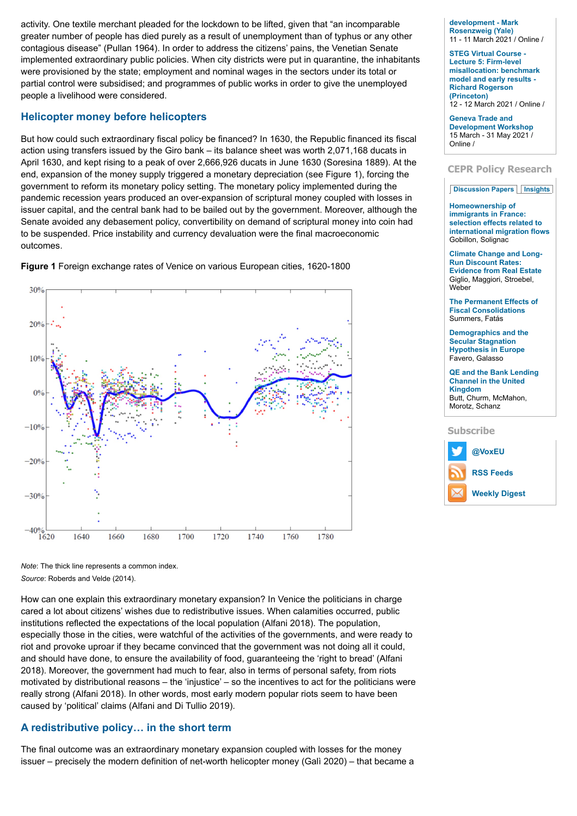activity. One textile merchant pleaded for the lockdown to be lifted, given that "an incomparable greater number of people has died purely as a result of unemployment than of typhus or any other contagious disease" (Pullan 1964). In order to address the citizens' pains, the Venetian Senate implemented extraordinary public policies. When city districts were put in quarantine, the inhabitants were provisioned by the state; employment and nominal wages in the sectors under its total or partial control were subsidised; and programmes of public works in order to give the unemployed people a livelihood were considered.

## **Helicopter money before helicopters**

But how could such extraordinary fiscal policy be financed? In 1630, the Republic financed its fiscal action using transfers issued by the Giro bank – its balance sheet was worth 2,071,168 ducats in April 1630, and kept rising to a peak of over 2,666,926 ducats in June 1630 (Soresina 1889). At the end, expansion of the money supply triggered a monetary depreciation (see Figure 1), forcing the government to reform its monetary policy setting. The monetary policy implemented during the pandemic recession years produced an over-expansion of scriptural money coupled with losses in issuer capital, and the central bank had to be bailed out by the government. Moreover, although the Senate avoided any debasement policy, convertibility on demand of scriptural money into coin had to be suspended. Price instability and currency devaluation were the final macroeconomic outcomes.

**Figure 1** Foreign exchange rates of Venice on various European cities, 1620-1800



**[development - Mark](https://voxeu.org/events/steg-virtual-course-supplemental-lecture-labour-market-frictions-and-development-mark-rosenzweig-yale) Rosenzweig (Yale)** 11 - 11 March 2021 / Online /

**STEG Virtual Course - Lecture 5: Firm-level [misallocation: benchmark](https://voxeu.org/events/steg-virtual-course-lecture-5-firm-level-misallocation-benchmark-model-and-early-results-richard-rogerson-princeton) model and early results - Richard Rogerson (Princeton)** 12 - 12 March 2021 / Online /

**Geneva Trade and [Development Workshop](https://voxeu.org/events/geneva-trade-and-development-workshop-0)** 15 March - 31 May 2021 / Online /

## **CEPR Policy Research**

#### **[Discussion Papers](https://voxeu.org/article/helicopter-money-another-pandemic-recession-venice-1630?qt-quicktabs_cepr_policy_research=0#qt-quicktabs_cepr_policy_research) [Insights](https://voxeu.org/article/helicopter-money-another-pandemic-recession-venice-1630?qt-quicktabs_cepr_policy_research=1#qt-quicktabs_cepr_policy_research)**

**Homeownership of immigrants in France: selection effects related to [international migration flows](https://voxeu.org/epubs/cepr-dps/homeownership-immigrants-france-selection-effects-related-international-migration-flows)** Gobillon, Solignac

**[Climate Change and Long-](https://voxeu.org/epubs/cepr-dps/climate-change-and-long-run-discount-rates-evidence-real-estate)Run Discount Rates: Evidence from Real Estate** Giglio, Maggiori, Stroebel, Weber

**[The Permanent Effects of](https://voxeu.org/epubs/cepr-dps/permanent-effects-fiscal-consolidations) Fiscal Consolidations** Summers, Fatás

**[Demographics and the](https://voxeu.org/epubs/cepr-dps/demographics-and-secular-stagnation-hypothesis-europe) Secular Stagnation Hypothesis in Europe** Favero, Galasso

**[QE and the Bank Lending](https://voxeu.org/epubs/cepr-dps/qe-and-bank-lending-channel-united-kingdom) Channel in the United Kingdom** Butt, Churm, McMahon, Morotz, Schanz

#### **Subscribe**



*Note*: The thick line represents a common index. *Source*: Roberds and Velde (2014).

How can one explain this extraordinary monetary expansion? In Venice the politicians in charge cared a lot about citizens' wishes due to redistributive issues. When calamities occurred, public institutions reflected the expectations of the local population (Alfani 2018). The population, especially those in the cities, were watchful of the activities of the governments, and were ready to riot and provoke uproar if they became convinced that the government was not doing all it could, and should have done, to ensure the availability of food, guaranteeing the 'right to bread' (Alfani 2018). Moreover, the government had much to fear, also in terms of personal safety, from riots motivated by distributional reasons – the 'injustice' – so the incentives to act for the politicians were really strong (Alfani 2018). In other words, most early modern popular riots seem to have been caused by 'political' claims (Alfani and Di Tullio 2019).

## **A redistributive policy… in the short term**

The final outcome was an extraordinary monetary expansion coupled with losses for the money issuer – precisely the modern definition of net-worth helicopter money (Galì 2020) – that became a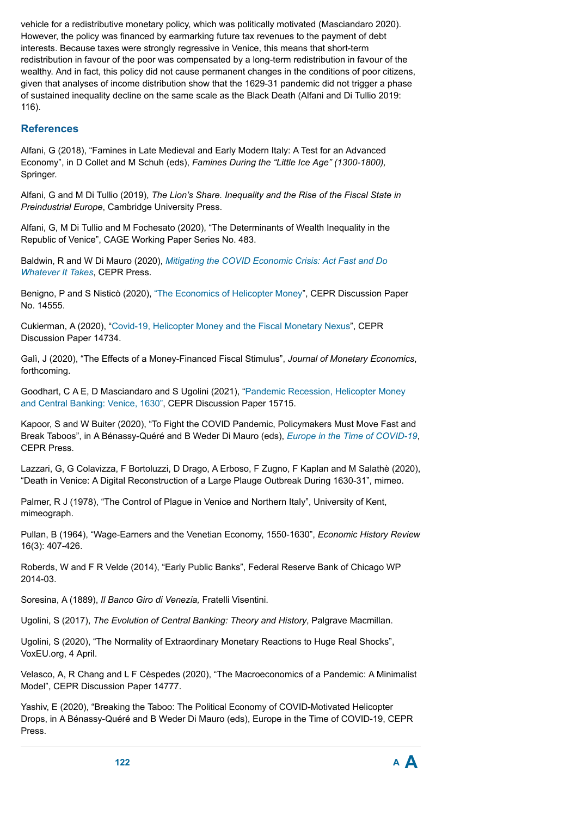vehicle for a redistributive monetary policy, which was politically motivated (Masciandaro 2020). However, the policy was financed by earmarking future tax revenues to the payment of debt interests. Because taxes were strongly regressive in Venice, this means that short-term redistribution in favour of the poor was compensated by a long-term redistribution in favour of the wealthy. And in fact, this policy did not cause permanent changes in the conditions of poor citizens, given that analyses of income distribution show that the 1629-31 pandemic did not trigger a phase of sustained inequality decline on the same scale as the Black Death (Alfani and Di Tullio 2019: 116).

## **References**

Alfani, G (2018), "Famines in Late Medieval and Early Modern Italy: A Test for an Advanced Economy", in D Collet and M Schuh (eds), *Famines During the "Little Ice Age" (1300-1800),* Springer.

Alfani, G and M Di Tullio (2019), *The Lion's Share. Inequality and the Rise of the Fiscal State in Preindustrial Europe*, Cambridge University Press.

Alfani, G, M Di Tullio and M Fochesato (2020), "The Determinants of Wealth Inequality in the Republic of Venice", CAGE Working Paper Series No. 483.

Baldwin, R and W Di Mauro (2020), *[Mitigating the COVID Economic Crisis: Act Fast and Do](https://voxeu.org/content/mitigating-covid-economic-crisis-act-fast-and-do-whatever-it-takes) Whatever It Takes*, CEPR Press.

Benigno, P and S Nisticò (2020), ["The Economics of Helicopter Money"](http://cepr.org/active/publications/discussion_papers/dp.php?dpno=14555), CEPR Discussion Paper No. 14555.

Cukierman, A (2020), ["Covid-19, Helicopter Money and the Fiscal Monetary Nexus](http://cepr.org/active/publications/discussion_papers/dp.php?dpno=14734)", CEPR Discussion Paper 14734.

Galì, J (2020), "The Effects of a Money-Financed Fiscal Stimulus", *Journal of Monetary Economics*, forthcoming.

[Goodhart, C A E, D Masciandaro and S Ugolini \(2021\), "Pandemic Recession, Helicopter Money](https://cepr.org/active/publications/discussion_papers/dp.php?dpno=15715) and Central Banking: Venice, 1630", CEPR Discussion Paper 15715.

Kapoor, S and W Buiter (2020), "To Fight the COVID Pandemic, Policymakers Must Move Fast and Break Taboos", in A Bénassy-Quéré and B Weder Di Mauro (eds), *[Europe in the Time of COVID-19](https://voxeu.org/content/europe-time-covid-19)*, CEPR Press.

Lazzari, G, G Colavizza, F Bortoluzzi, D Drago, A Erboso, F Zugno, F Kaplan and M Salathè (2020), "Death in Venice: A Digital Reconstruction of a Large Plauge Outbreak During 1630-31", mimeo.

Palmer, R J (1978), "The Control of Plague in Venice and Northern Italy", University of Kent, mimeograph.

Pullan, B (1964), "Wage-Earners and the Venetian Economy, 1550-1630", *Economic History Review* 16(3): 407-426.

Roberds, W and F R Velde (2014), "Early Public Banks", Federal Reserve Bank of Chicago WP 2014-03.

Soresina, A (1889), *Il Banco Giro di Venezia,* Fratelli Visentini.

Ugolini, S (2017), *The Evolution of Central Banking: Theory and History*, Palgrave Macmillan.

Ugolini, S (2020), "The Normality of Extraordinary Monetary Reactions to Huge Real Shocks", VoxEU.org, 4 April.

Velasco, A, R Chang and L F Cèspedes (2020), "The Macroeconomics of a Pandemic: A Minimalist Model", CEPR Discussion Paper 14777.

Yashiv, E (2020), "Breaking the Taboo: The Political Economy of COVID-Motivated Helicopter Drops, in A Bénassy-Quéré and B Weder Di Mauro (eds), Europe in the Time of COVID-19, CEPR Press.